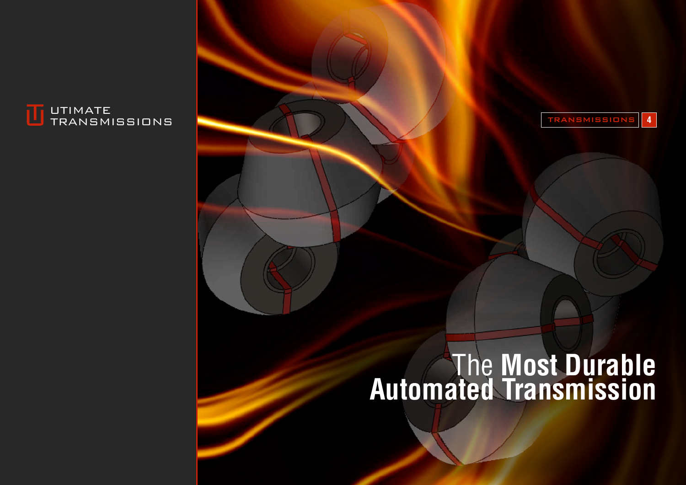



# The **Most Durable Automated Transmission**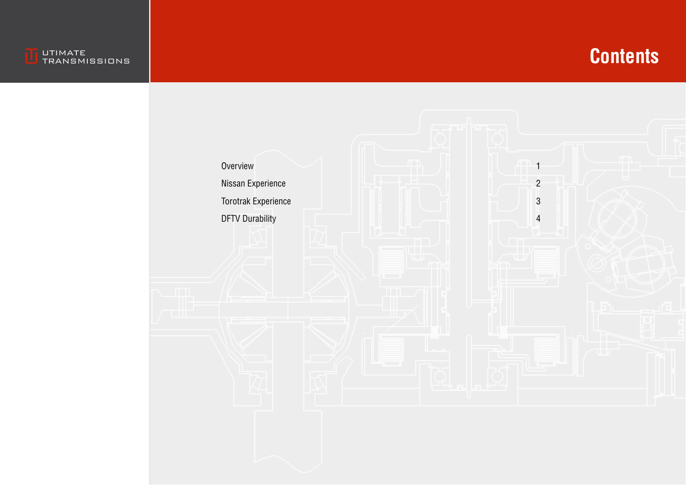

## **Contents**

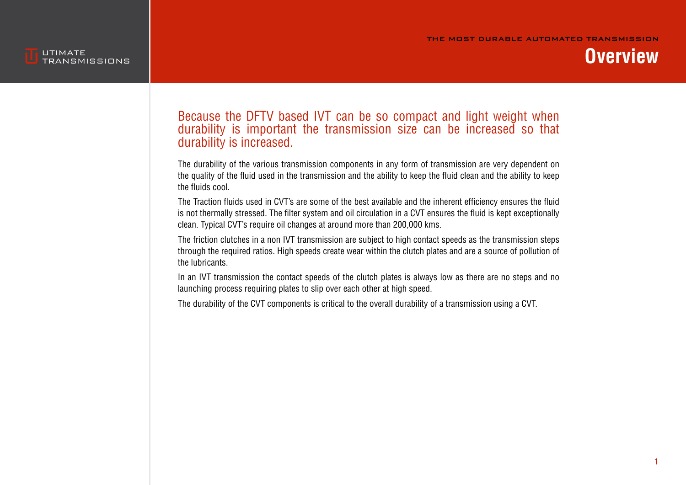

**Overview**

#### Because the DFTV based IVT can be so compact and light weight when durability is important the transmission size can be increased so that durability is increased.

The durability of the various transmission components in any form of transmission are very dependent on the quality of the fluid used in the transmission and the ability to keep the fluid clean and the ability to keep the fluids cool.

The Traction fluids used in CVT's are some of the best available and the inherent efficiency ensures the fluid is not thermally stressed. The filter system and oil circulation in a CVT ensures the fluid is kept exceptionally clean. Typical CVT's require oil changes at around more than 200,000 kms.

The friction clutches in a non IVT transmission are subject to high contact speeds as the transmission steps through the required ratios. High speeds create wear within the clutch plates and are a source of pollution of the lubricants.

In an IVT transmission the contact speeds of the clutch plates is always low as there are no steps and no launching process requiring plates to slip over each other at high speed.

The durability of the CVT components is critical to the overall durability of a transmission using a CVT.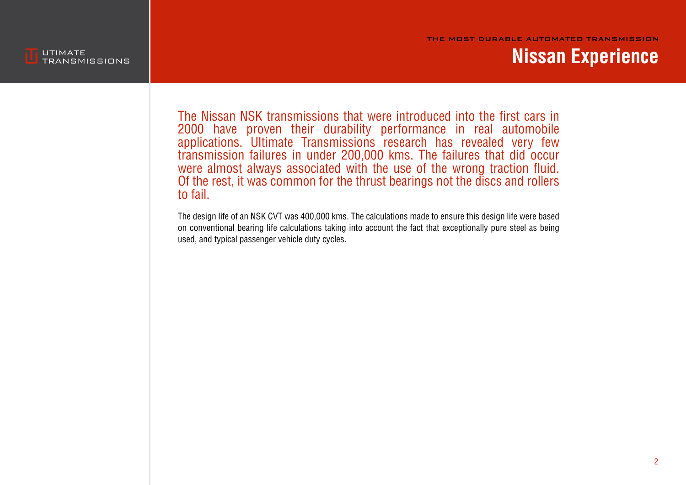



#### **Nissan Experience**

The Nissan NSK transmissions that were introduced into the first cars in 2000 have proven their durability performance in real automobile applications. Ultimate Transmissions research has revealed very few transmission failures in under 200,000 kms. The failures that did occur were almost always associated with the use of the wrong traction fluid. Of the rest, it was common for the thrust bearings not the discs and rollers to fail.

The design life of an NSK CVT was 400,000 kms. The calculations made to ensure this design life were based on conventional bearing life calculations taking into account the fact that exceptionally pure steel as being used, and typical passenger vehicle duty cycles.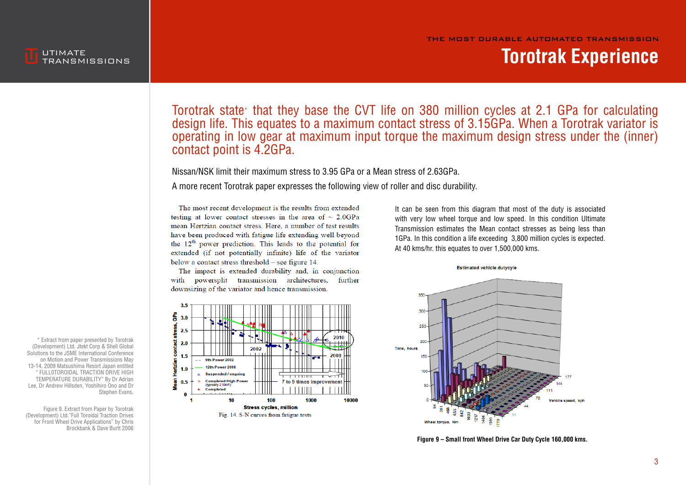



### **Torotrak Experience**

Torotrak state\* that they base the CVT life on 380 million cycles at 2.1 GPa for calculating design life. This equates to a maximum contact stress of 3.15GPa. When a Torotrak variator is operating in low gear at maximum input torque the maximum design stress under the (inner) contact point is 4.2GPa.

Nissan/NSK limit their maximum stress to 3.95 GPa or a Mean stress of 2.63GPa.

A more recent Torotrak paper expresses the following view of roller and disc durability.

The most recent development is the results from extended testing at lower contact stresses in the area of  $\sim 2.0 \text{GPa}$ mean Hertzian contact stress. Here, a number of test results have been produced with fatigue life extending well beyond the  $12<sup>th</sup>$  power prediction. This leads to the potential for extended (if not potentially infinite) life of the variator below a contact stress threshold - see figure 14.

The impact is extended durability and, in conjunction with powersplit transmission architectures, further downsizing of the variator and hence transmission.



It can be seen from this diagram that most of the duty is associated with very low wheel torque and low speed. In this condition Ultimate Transmission estimates the Mean contact stresses as being less than 1GPa. In this condition a life exceeding 3,800 million cycles is expected. At 40 kms/hr. this equates to over 1,500,000 kms.



**Figure 9 – Small front Wheel Drive Car Duty Cycle 160,000 kms.**

\* Extract from paper presented by Torotrak (Development) Ltd. Jtekt Corp & Shell Global Solutions to the JSME International Conference on Motion and Power Transmissions May 13-14, 2009 Matsushima Resort Japan entitled " FULL0TOROIDAL TRACTION DRIVE HIGH TEMPERATURE DURABILITY" By Dr Adrian Lee, Dr Andrew Hillsden, Yoshihiro Ono and Dr Stephen Evans.

Figure 9. Extract from Paper by Torotrak (Development) Ltd."Full Toroidal Traction Drives for Front Wheel Drive Applications" by Chris Brockbank & Dave Burtt 2006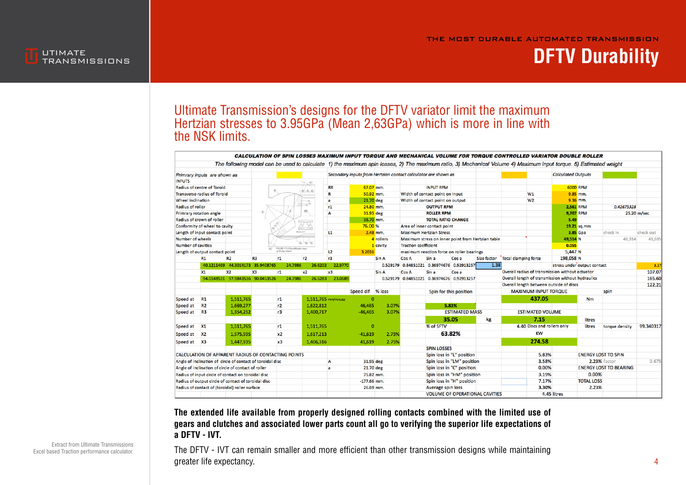THE MOST DURABLE AUTOMATED TRANSMISSION



### **DFTV Durability**

#### Ultimate Transmission's designs for the DFTV variator limit the maximum Hertzian stresses to 3.95GPa (Mean 2,63GPa) which is more in line with the NSK limits.

|                                                                                                       |                                |                                             |                |                    |           |                                  |                                |                                                                |                                                                                                   |                                           |                       |                                           |                                                 |                             |                               |             | CALCULATION OF SPIN LOSSES MAXIMUM INPUT TORQUE AND MECHANICAL VOLUME FOR TORQUE CONTROLLED VARIATOR DOUBLE ROLLER                                               |                |           |
|-------------------------------------------------------------------------------------------------------|--------------------------------|---------------------------------------------|----------------|--------------------|-----------|----------------------------------|--------------------------------|----------------------------------------------------------------|---------------------------------------------------------------------------------------------------|-------------------------------------------|-----------------------|-------------------------------------------|-------------------------------------------------|-----------------------------|-------------------------------|-------------|------------------------------------------------------------------------------------------------------------------------------------------------------------------|----------------|-----------|
|                                                                                                       |                                |                                             |                |                    |           |                                  |                                |                                                                |                                                                                                   |                                           |                       |                                           |                                                 |                             |                               |             | The following model can be used to calculate 1) the maximum spin losses, 2) The maximum ratio, 3) Mechanical Volume 4) Maximum input torque. 5) Estimated weight |                |           |
| Primrary inputs are shown as                                                                          |                                |                                             |                |                    |           |                                  |                                | Secondary inputs from Hertzian contact calculator are shown as |                                                                                                   |                                           |                       |                                           |                                                 | <b>Calculated Outputs</b>   |                               |             |                                                                                                                                                                  |                |           |
| <b>INPUTS</b>                                                                                         |                                |                                             |                |                    |           |                                  |                                |                                                                |                                                                                                   |                                           |                       |                                           |                                                 |                             |                               |             |                                                                                                                                                                  |                |           |
|                                                                                                       | Radius of centre of Toroid     |                                             |                |                    |           |                                  | <b>RR</b>                      | 67.07 mm.                                                      |                                                                                                   |                                           | <b>INPUT RPM</b>      |                                           |                                                 |                             |                               |             | 6000 RPM                                                                                                                                                         |                |           |
| <b>Transverse radius of Toroid</b>                                                                    |                                |                                             | R              | 50.92 mm.          |           | Width of contact point on input  |                                |                                                                |                                                                                                   |                                           | W1                    |                                           | 9.85 mm.                                        |                             |                               |             |                                                                                                                                                                  |                |           |
| Wheel inclination                                                                                     |                                |                                             | a              | 21.70 deg          |           | Width of contact point on output |                                |                                                                |                                                                                                   |                                           | W <sub>2</sub>        |                                           | 9.36 mm.                                        |                             |                               |             |                                                                                                                                                                  |                |           |
| <b>Radius of roller</b>                                                                               |                                |                                             |                | r1                 | 24.80 mm. |                                  | <b>OUTPUT RPM</b>              |                                                                |                                                                                                   |                                           |                       |                                           | <b>2.561 RPM</b>                                |                             | 0.42675328                    |             |                                                                                                                                                                  |                |           |
| RR.<br>Primrary rotation angle                                                                        |                                |                                             |                | A                  | 31.95 deg |                                  | <b>ROLLER RPM</b>              |                                                                |                                                                                                   |                                           |                       |                                           | 9.707 RPM                                       |                             |                               | 25.20 m/sec |                                                                                                                                                                  |                |           |
| Radius of crown of roller                                                                             |                                |                                             |                |                    |           | 38.70 mm.                        |                                |                                                                | <b>TOTAL RATIO CHANGE</b>                                                                         |                                           |                       |                                           |                                                 | 5.49                        |                               |             |                                                                                                                                                                  |                |           |
| Conformity of wheel to cavity                                                                         |                                |                                             |                | 76.00 %            |           | Area of inner contact point      |                                |                                                                |                                                                                                   |                                           |                       |                                           | 19.21 sq.mm                                     |                             |                               |             |                                                                                                                                                                  |                |           |
| <b>INCLECTION</b><br>Length of input contact point                                                    |                                |                                             |                | L1                 |           | $2.48$ mm.                       | <b>Maximum Hertzian Stress</b> |                                                                |                                                                                                   |                                           |                       |                                           |                                                 | <b>3.85 Gpa</b>             | check in                      | check out   |                                                                                                                                                                  |                |           |
| Number of wheels                                                                                      |                                |                                             |                |                    | 4 rollers |                                  |                                |                                                                | Maximum stress on inner point from Hertzian table                                                 |                                           |                       | 49,514 N                                  |                                                 | 49,314                      | 49.695                        |             |                                                                                                                                                                  |                |           |
| QC QC Q<br><b>Number of cavities</b><br>FIGURE 17 Full Toroid Double wheel                            |                                |                                             |                |                    |           | 1 cavity                         | <b>Traction coefficient</b>    |                                                                |                                                                                                   |                                           |                       |                                           | 0.055                                           |                             |                               |             |                                                                                                                                                                  |                |           |
|                                                                                                       | Length of output contact point |                                             |                | @ 39 days mitation |           |                                  | L <sub>2</sub>                 | 3.2016                                                         |                                                                                                   | maximum reaction force on roller bearings |                       |                                           |                                                 |                             |                               | 5,447 N     |                                                                                                                                                                  |                |           |
|                                                                                                       | <b>R1</b>                      | <b>R2</b>                                   | R <sub>3</sub> | r1                 | r2        |                                  | r3                             |                                                                | Sin A                                                                                             | <b>Cos A</b>                              | Sin a                 | Cos a                                     | <b>Size factor</b>                              | Total clamping force        |                               | 198,058 N   |                                                                                                                                                                  |                |           |
|                                                                                                       |                                | 40.1211469 44.3014173 35.9408765            |                |                    | 24.7986   | 26.6202                          | 22.9770                        |                                                                |                                                                                                   |                                           |                       | 0.529179 0.84851021 0.36974676 0.92913257 | 1.38                                            |                             |                               |             | stress under output contact                                                                                                                                      |                | 3.17      |
|                                                                                                       | X1                             | X <sub>2</sub><br>X <sub>3</sub><br>r1      |                | $x^2$              |           | x3                               |                                | Sin A                                                          | Cos A                                                                                             | Sin a                                     | Cos a                 |                                           | Overall radius of transmission without actuator |                             |                               |             |                                                                                                                                                                  | 107.07         |           |
|                                                                                                       |                                | 94.0148531 97.9843536 90.0453526<br>24.7986 |                | 26.5283            | 23,0689   |                                  |                                |                                                                | Overall length of transmission without hydraulics<br>0.529179  0.84851021  0.36974676  0.92913257 |                                           |                       |                                           |                                                 |                             | 165.60                        |             |                                                                                                                                                                  |                |           |
|                                                                                                       |                                |                                             |                |                    |           |                                  |                                | Overall length between outside of discs                        |                                                                                                   |                                           |                       |                                           |                                                 |                             | 122.21                        |             |                                                                                                                                                                  |                |           |
|                                                                                                       |                                |                                             |                |                    |           |                                  |                                | Speed dif % loss                                               |                                                                                                   |                                           |                       | Spin for this position                    |                                                 | <b>MAXIMUM INPUT TORQUE</b> |                               |             | spin                                                                                                                                                             |                |           |
| Speed at                                                                                              | R1                             | 1.511.765                                   |                | r1                 |           | 1.511.765 mm/minute              |                                | $\Omega$                                                       |                                                                                                   |                                           |                       |                                           |                                                 |                             | 437.05                        |             | Nm                                                                                                                                                               |                |           |
| Speed at                                                                                              | R <sub>2</sub>                 | 1,669,277                                   |                | r2                 |           | 1,622,812                        |                                | 46,465                                                         | 3.07%                                                                                             |                                           |                       | 5.83%                                     |                                                 |                             |                               |             |                                                                                                                                                                  |                |           |
| Speed at                                                                                              | R <sub>3</sub>                 | 1,354,252                                   |                | r3                 |           | 1.400.717                        |                                | $-46.465$                                                      | 3.07%                                                                                             |                                           | <b>ESTIMATED MASS</b> |                                           |                                                 | <b>ESTIMATED VOLUME</b>     |                               |             |                                                                                                                                                                  |                |           |
|                                                                                                       |                                |                                             |                |                    |           |                                  |                                |                                                                |                                                                                                   |                                           |                       | 35.05                                     | kg                                              |                             | 7.15                          |             | litres                                                                                                                                                           |                |           |
| Speed at X1                                                                                           |                                | 1,511,765                                   |                | r1                 |           | 1,511,765                        |                                | $\mathbf{0}$                                                   |                                                                                                   |                                           | % of SFTV             |                                           |                                                 |                             | 4.40 Discs and rollers only   |             | litres                                                                                                                                                           | torque density | 99.340317 |
| Speed at                                                                                              | X <sub>2</sub>                 | 1,575,595                                   |                | x <sub>2</sub>     |           | 1,617,213                        |                                | $-41.619$                                                      | 2.75%                                                                                             | 63.82%                                    |                       |                                           |                                                 | KW                          |                               |             |                                                                                                                                                                  |                |           |
|                                                                                                       |                                |                                             |                |                    |           |                                  |                                |                                                                |                                                                                                   |                                           |                       |                                           |                                                 |                             |                               |             |                                                                                                                                                                  |                |           |
| Speed at                                                                                              | $x_3$                          | 1,447,935                                   |                | x3                 |           | 1,406,316                        |                                | 41,619                                                         | 2.75%                                                                                             |                                           |                       |                                           |                                                 |                             | 274.58                        |             |                                                                                                                                                                  |                |           |
|                                                                                                       |                                |                                             |                |                    |           |                                  |                                |                                                                |                                                                                                   |                                           | <b>SPIN LOSSES</b>    |                                           |                                                 |                             |                               |             |                                                                                                                                                                  |                |           |
| CALCULATION OF APPARENT RADIUS OF CONTACTING POINTS                                                   |                                |                                             |                |                    |           |                                  |                                |                                                                | Spin loss in "L" position                                                                         |                                           |                       | 5.83%                                     |                                                 |                             | <b>ENERGY LOST TO SPIN</b>    |             |                                                                                                                                                                  |                |           |
| Angle of inclination of circle of contact of toroidal disc                                            |                                |                                             |                |                    |           | Α                                | 31.95 deg                      |                                                                | Spin loss in "LM" position                                                                        |                                           |                       | 3.58%                                     |                                                 |                             | 2.23% factor                  |             | 0.675                                                                                                                                                            |                |           |
| Angle of inclination of circle of contact of roller                                                   |                                |                                             |                |                    | a         | 21.70 deg                        |                                | Spin loss in "C" position                                      |                                                                                                   |                                           |                       |                                           | 0.00%                                           |                             | <b>ENERGY LOST TO BEARING</b> |             |                                                                                                                                                                  |                |           |
| Radius of input circle of contact on toroidal disc                                                    |                                |                                             |                |                    |           | 75.82 mm.                        |                                | Spin loss in "HM" position                                     |                                                                                                   |                                           |                       | 3.19%                                     |                                                 | 0.00%                       |                               |             |                                                                                                                                                                  |                |           |
| Radius of output circle of contact of toroidal disc<br>Radius of contact of (toroidal) roller surface |                                |                                             |                |                    |           | $-177.66$ mm.                    |                                |                                                                | Spin loss in "H" position                                                                         |                                           |                       |                                           | 7.17%                                           |                             | <b>TOTAL LOSS</b>             |             |                                                                                                                                                                  |                |           |
|                                                                                                       |                                |                                             |                |                    |           |                                  |                                | 26.69 mm.                                                      |                                                                                                   |                                           | Average spin loss     |                                           |                                                 |                             | 3.30%                         |             | 2.23%                                                                                                                                                            |                |           |
|                                                                                                       |                                |                                             |                |                    |           |                                  |                                |                                                                |                                                                                                   |                                           |                       |                                           | <b>VOLUME OF OPERATIONAL CAVITIES</b>           |                             |                               | 4.45 litres |                                                                                                                                                                  |                |           |

**The extended life available from properly designed rolling contacts combined with the limited use of gears and clutches and associated lower parts count all go to verifying the superior life expectations of a DFTV - IVT.**

The DFTV - IVT can remain smaller and more efficient than other transmission designs while maintaining greater life expectancy.